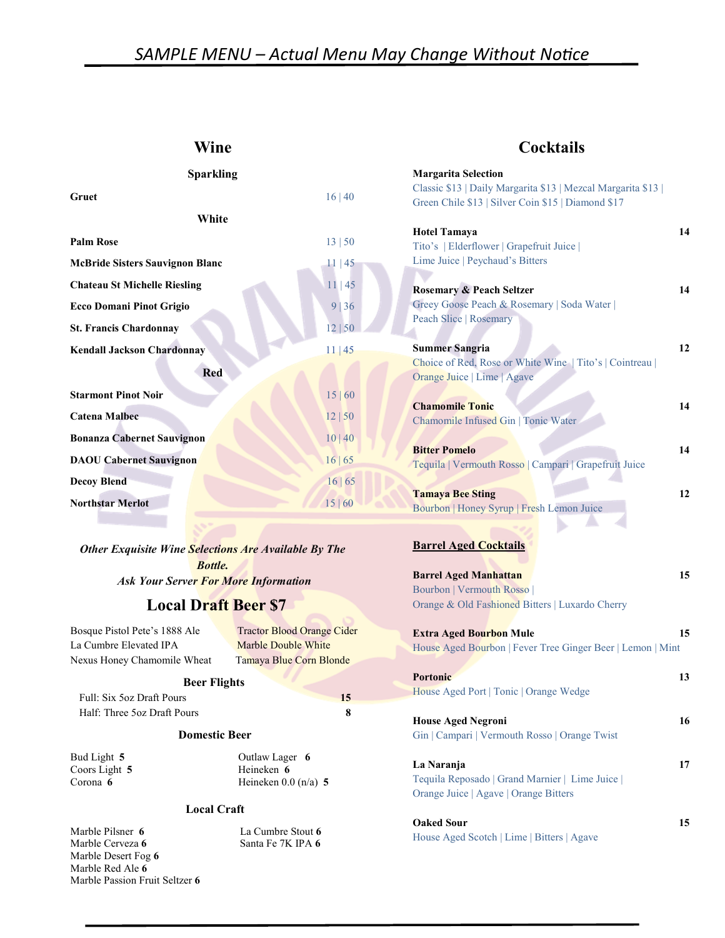# SAMPLE MENU - Actual Menu May Change Without Notice

 $\int$ 

#### Wine

| <b>Sparkling</b>                       |         |
|----------------------------------------|---------|
| Gruet                                  | 16 40   |
| White                                  |         |
| <b>Palm Rose</b>                       | 13   50 |
| <b>McBride Sisters Sauvignon Blanc</b> | 11 45   |
| <b>Chateau St Michelle Riesling</b>    | 11 45   |
| <b>Ecco Domani Pinot Grigio</b>        | 9 36    |
| <b>St. Francis Chardonnay</b>          | 12 50   |
| <b>Kendall Jackson Chardonnay</b>      | 11 45   |
| <b>Red</b>                             |         |
| <b>Starmont Pinot Noir</b>             | 15 60   |
| <b>Catena Malbec</b>                   | 12 50   |
| <b>Bonanza Cabernet Sauvignon</b>      | 10 40   |
| <b>DAOU Cabernet Sauvignon</b>         | 16 65   |
| <b>Decoy Blend</b>                     | 16 65   |
| <b>Northstar Merlot</b>                | 15 60   |

Other Exquisite Wine Selections Are Available By The Bottle. **Ask Your Server For More Information** 

### Local Draft Beer \$7

La Cumbre Elevated IPA Marble Double White Nexus Honey Chamomile Wheat Tamaya Blue Corn Blonde

Bosque Pistol Pete's 1888 Ale Tractor Blood Orange Cider

#### Beer Flights

Full: Six 5oz Draft Pours 15 Half: Three 5oz Draft Pours 8

#### Domestic Beer

Coors Light 5 Heineken 6

Bud Light 5 Outlaw Lager 6 Corona 6 Heineken 0.0 (n/a) 5

#### Local Craft

Marble Pilsner 6 La Cumbre Stout 6 Marble Cerveza 6 Santa Fe 7K IPA 6 Marble Desert Fog 6 Marble Red Ale 6 Marble Passion Fruit Seltzer 6

## Wine **Cocktails**

| <b>Margarita Selection</b>                                                      |    |
|---------------------------------------------------------------------------------|----|
| Classic \$13   Daily Margarita \$13   Mezcal Margarita \$13                     |    |
| Green Chile \$13   Silver Coin \$15   Diamond \$17                              |    |
|                                                                                 |    |
| <b>Hotel Tamaya</b>                                                             | 14 |
| Tito's   Elderflower   Grapefruit Juice                                         |    |
| Lime Juice   Peychaud's Bitters                                                 |    |
|                                                                                 |    |
| <b>Rosemary &amp; Peach Seltzer</b>                                             | 14 |
| Greey Goose Peach & Rosemary   Soda Water                                       |    |
| <b>Peach Slice   Rosemary</b>                                                   |    |
|                                                                                 | 12 |
| <b>Summer Sangria</b><br>Choice of Red, Rose or White Wine   Tito's   Cointreau |    |
| Orange Juice   Lime   Agave                                                     |    |
|                                                                                 |    |
| <b>Chamomile Tonic</b>                                                          | 14 |
| Chamomile Infused Gin   Tonic Water                                             |    |
|                                                                                 |    |
| <b>Bitter Pomelo</b>                                                            | 14 |
| Tequila   Vermouth Rosso   Campari   Grapefruit Juice                           |    |
|                                                                                 |    |
| <b>Tamaya Bee Sting</b>                                                         | 12 |
| Bourbon   Honey Syrup   Fresh Lemon Juice                                       |    |
|                                                                                 |    |
|                                                                                 |    |
| <b>Barrel Aged Cocktails</b>                                                    |    |
|                                                                                 | 15 |
| <b>Barrel Aged Manhattan</b><br>Bourbon   Vermouth Rosso                        |    |
| Orange & Old Fashioned Bitters   Luxardo Cherry                                 |    |
|                                                                                 |    |
| <b>Extra Aged Bourbon Mule</b>                                                  | 15 |
| House Aged Bourbon   Fever Tree Ginger Beer   Lemon   Mint                      |    |
|                                                                                 |    |
| <b>Portonic</b>                                                                 | 13 |
| House Aged Port   Tonic   Orange Wedge                                          |    |
|                                                                                 |    |
| <b>House Aged Negroni</b>                                                       | 16 |
| Gin   Campari   Vermouth Rosso   Orange Twist                                   |    |
|                                                                                 |    |
| La Naranja                                                                      | 17 |
| Tequila Reposado   Grand Marnier   Lime Juice                                   |    |
| Orange Juice   Agave   Orange Bitters                                           |    |
|                                                                                 |    |
| <b>Oaked Sour</b>                                                               | 15 |
| House Aged Scotch   Lime   Bitters   Agave                                      |    |